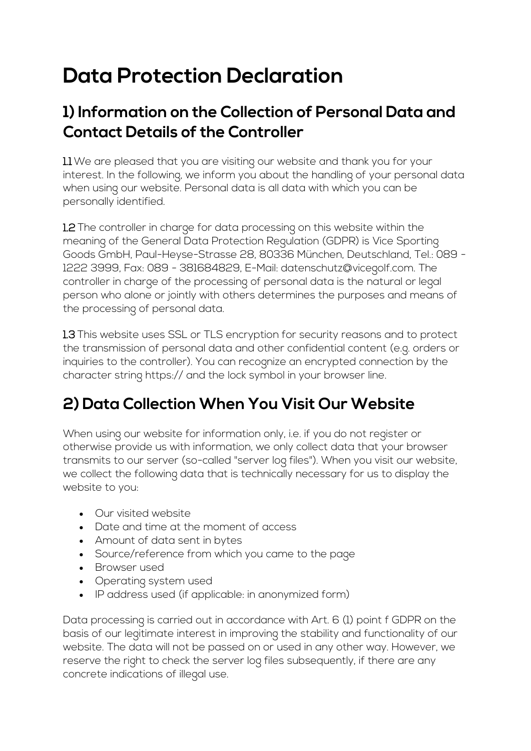# **Data Protection Declaration**

### **1) Information on the Collection of Personal Data and Contact Details of the Controller**

1.1 We are pleased that you are visiting our website and thank you for your interest. In the following, we inform you about the handling of your personal data when using our website. Personal data is all data with which you can be personally identified.

1.2 The controller in charge for data processing on this website within the meaning of the General Data Protection Regulation (GDPR) is Vice Sporting Goods GmbH, Paul-Heyse-Strasse 28, 80336 München, Deutschland, Tel.: 089 - 1222 3999, Fax: 089 - 381684829, E-Mail: datenschutz@vicegolf.com. The controller in charge of the processing of personal data is the natural or legal person who alone or jointly with others determines the purposes and means of the processing of personal data.

1.3 This website uses SSL or TLS encryption for security reasons and to protect the transmission of personal data and other confidential content (e.g. orders or inquiries to the controller). You can recognize an encrypted connection by the character string https:// and the lock symbol in your browser line.

# **2) Data Collection When You Visit Our Website**

When using our website for information only, i.e. if you do not register or otherwise provide us with information, we only collect data that your browser transmits to our server (so-called "server log files"). When you visit our website, we collect the following data that is technically necessary for us to display the website to you:

- Our visited website
- Date and time at the moment of access
- Amount of data sent in bytes
- Source/reference from which you came to the page
- Browser used
- Operating system used
- IP address used (if applicable: in anonymized form)

Data processing is carried out in accordance with Art. 6 (1) point f GDPR on the basis of our legitimate interest in improving the stability and functionality of our website. The data will not be passed on or used in any other way. However, we reserve the right to check the server log files subsequently, if there are any concrete indications of illegal use.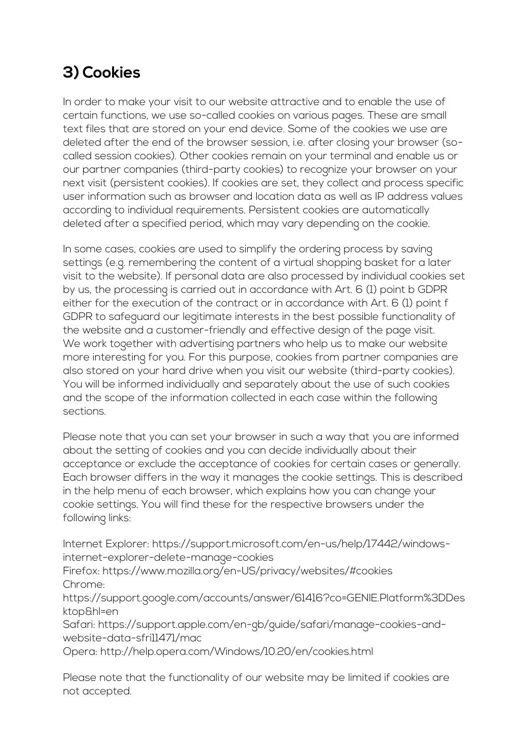### **3) Cookies**

In order to make your visit to our website attractive and to enable the use of certain functions, we use so-called cookies on various pages. These are small text files that are stored on your end device. Some of the cookies we use are deleted after the end of the browser session, i.e. after closing your browser (socalled session cookies). Other cookies remain on your terminal and enable us or our partner companies (third-party cookies) to recognize your browser on your next visit (persistent cookies). If cookies are set, they collect and process specific user information such as browser and location data as well as IP address values according to individual requirements. Persistent cookies are automatically deleted after a specified period, which may vary depending on the cookie.

In some cases, cookies are used to simplify the ordering process by saving settings (e.g. remembering the content of a virtual shopping basket for a later visit to the website). If personal data are also processed by individual cookies set by us, the processing is carried out in accordance with Art. 6 (1) point b GDPR either for the execution of the contract or in accordance with Art. 6 (1) point f GDPR to safeguard our legitimate interests in the best possible functionality of the website and a customer-friendly and effective design of the page visit. We work together with advertising partners who help us to make our website more interesting for you. For this purpose, cookies from partner companies are also stored on your hard drive when you visit our website (third-party cookies). You will be informed individually and separately about the use of such cookies and the scope of the information collected in each case within the following sections.

Please note that you can set your browser in such a way that you are informed about the setting of cookies and you can decide individually about their acceptance or exclude the acceptance of cookies for certain cases or generally. Each browser differs in the way it manages the cookie settings. This is described in the help menu of each browser, which explains how you can change your cookie settings. You will find these for the respective browsers under the following links:

Internet Explorer: https://support.microsoft.com/en-us/help/17442/windowsinternet-explorer-delete-manage-cookies

Firefox: https://www.mozilla.org/en-US/privacy/websites/#cookies Chrome:

https://support.google.com/accounts/answer/61416?co=GENIE.Platform%3DDes ktop&hl=en

Safari: https://support.apple.com/en-gb/guide/safari/manage-cookies-andwebsite-data-sfri11471/mac

Opera: http://help.opera.com/Windows/10.20/en/cookies.html

Please note that the functionality of our website may be limited if cookies are not accepted.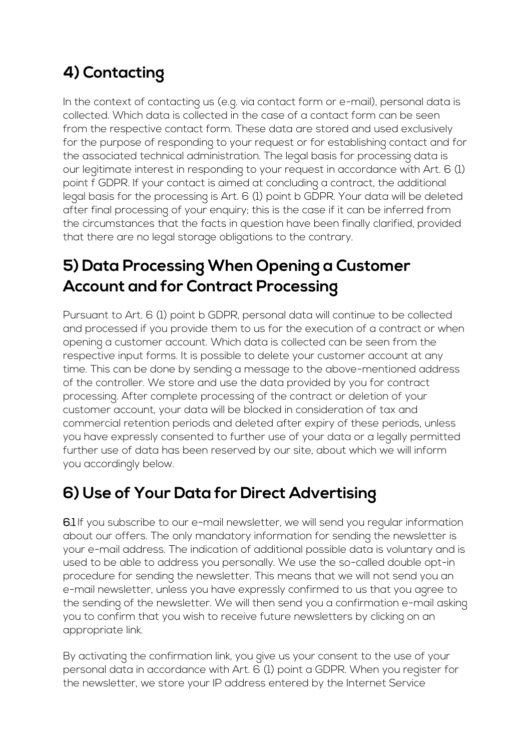# **4) Contacting**

In the context of contacting us (e.g. via contact form or e-mail), personal data is collected. Which data is collected in the case of a contact form can be seen from the respective contact form. These data are stored and used exclusively for the purpose of responding to your request or for establishing contact and for the associated technical administration. The legal basis for processing data is our legitimate interest in responding to your request in accordance with Art. 6 (1) point f GDPR. If your contact is aimed at concluding a contract, the additional legal basis for the processing is Art. 6 (1) point b GDPR. Your data will be deleted after final processing of your enquiry; this is the case if it can be inferred from the circumstances that the facts in question have been finally clarified, provided that there are no legal storage obligations to the contrary.

### **5) Data Processing When Opening a Customer Account and for Contract Processing**

Pursuant to Art. 6 (1) point b GDPR, personal data will continue to be collected and processed if you provide them to us for the execution of a contract or when opening a customer account. Which data is collected can be seen from the respective input forms. It is possible to delete your customer account at any time. This can be done by sending a message to the above-mentioned address of the controller. We store and use the data provided by you for contract processing. After complete processing of the contract or deletion of your customer account, your data will be blocked in consideration of tax and commercial retention periods and deleted after expiry of these periods, unless you have expressly consented to further use of your data or a legally permitted further use of data has been reserved by our site, about which we will inform you accordingly below.

### **6) Use of Your Data for Direct Advertising**

6.1 If you subscribe to our e-mail newsletter, we will send you regular information about our offers. The only mandatory information for sending the newsletter is your e-mail address. The indication of additional possible data is voluntary and is used to be able to address you personally. We use the so-called double opt-in procedure for sending the newsletter. This means that we will not send you an e-mail newsletter, unless you have expressly confirmed to us that you agree to the sending of the newsletter. We will then send you a confirmation e-mail asking you to confirm that you wish to receive future newsletters by clicking on an appropriate link.

By activating the confirmation link, you give us your consent to the use of your personal data in accordance with Art. 6 (1) point a GDPR. When you register for the newsletter, we store your IP address entered by the Internet Service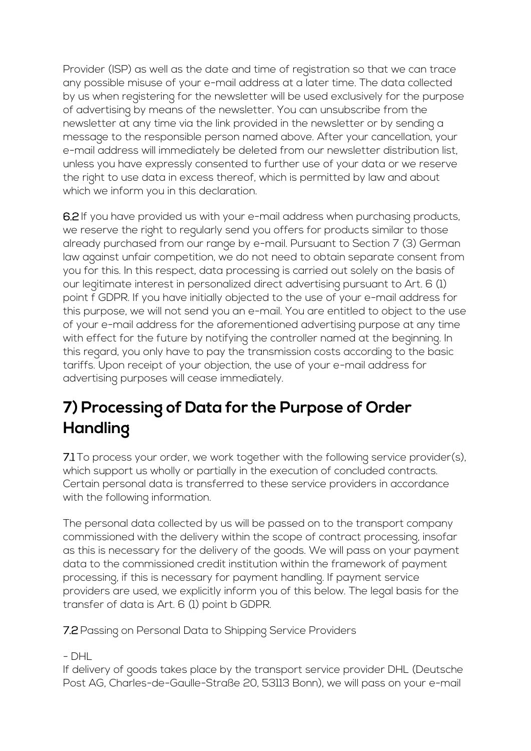Provider (ISP) as well as the date and time of registration so that we can trace any possible misuse of your e-mail address at a later time. The data collected by us when registering for the newsletter will be used exclusively for the purpose of advertising by means of the newsletter. You can unsubscribe from the newsletter at any time via the link provided in the newsletter or by sending a message to the responsible person named above. After your cancellation, your e-mail address will immediately be deleted from our newsletter distribution list, unless you have expressly consented to further use of your data or we reserve the right to use data in excess thereof, which is permitted by law and about which we inform you in this declaration.

6.2 If you have provided us with your e-mail address when purchasing products, we reserve the right to regularly send you offers for products similar to those already purchased from our range by e-mail. Pursuant to Section 7 (3) German law against unfair competition, we do not need to obtain separate consent from you for this. In this respect, data processing is carried out solely on the basis of our legitimate interest in personalized direct advertising pursuant to Art. 6 (1) point f GDPR. If you have initially objected to the use of your e-mail address for this purpose, we will not send you an e-mail. You are entitled to object to the use of your e-mail address for the aforementioned advertising purpose at any time with effect for the future by notifying the controller named at the beginning. In this regard, you only have to pay the transmission costs according to the basic tariffs. Upon receipt of your objection, the use of your e-mail address for advertising purposes will cease immediately.

### **7) Processing of Data for the Purpose of Order Handling**

7.1 To process your order, we work together with the following service provider(s), which support us wholly or partially in the execution of concluded contracts. Certain personal data is transferred to these service providers in accordance with the following information.

The personal data collected by us will be passed on to the transport company commissioned with the delivery within the scope of contract processing, insofar as this is necessary for the delivery of the goods. We will pass on your payment data to the commissioned credit institution within the framework of payment processing, if this is necessary for payment handling. If payment service providers are used, we explicitly inform you of this below. The legal basis for the transfer of data is Art. 6 (1) point b GDPR.

7.2 Passing on Personal Data to Shipping Service Providers

- DHL

If delivery of goods takes place by the transport service provider DHL (Deutsche Post AG, Charles-de-Gaulle-Straße 20, 53113 Bonn), we will pass on your e-mail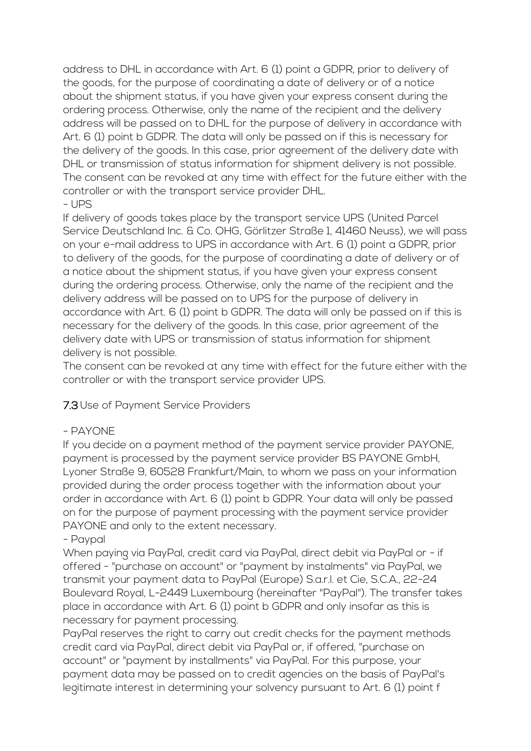address to DHL in accordance with Art. 6 (1) point a GDPR, prior to delivery of the goods, for the purpose of coordinating a date of delivery or of a notice about the shipment status, if you have given your express consent during the ordering process. Otherwise, only the name of the recipient and the delivery address will be passed on to DHL for the purpose of delivery in accordance with Art. 6 (1) point b GDPR. The data will only be passed on if this is necessary for the delivery of the goods. In this case, prior agreement of the delivery date with DHL or transmission of status information for shipment delivery is not possible. The consent can be revoked at any time with effect for the future either with the controller or with the transport service provider DHL. - UPS

If delivery of goods takes place by the transport service UPS (United Parcel Service Deutschland Inc. & Co. OHG, Görlitzer Straße 1, 41460 Neuss), we will pass on your e-mail address to UPS in accordance with Art. 6 (1) point a GDPR, prior to delivery of the goods, for the purpose of coordinating a date of delivery or of a notice about the shipment status, if you have given your express consent during the ordering process. Otherwise, only the name of the recipient and the delivery address will be passed on to UPS for the purpose of delivery in accordance with Art. 6 (1) point b GDPR. The data will only be passed on if this is necessary for the delivery of the goods. In this case, prior agreement of the delivery date with UPS or transmission of status information for shipment delivery is not possible.

The consent can be revoked at any time with effect for the future either with the controller or with the transport service provider UPS.

#### 7.3 Use of Payment Service Providers

#### - PAYONE

If you decide on a payment method of the payment service provider PAYONE, payment is processed by the payment service provider BS PAYONE GmbH, Lyoner Straße 9, 60528 Frankfurt/Main, to whom we pass on your information provided during the order process together with the information about your order in accordance with Art. 6 (1) point b GDPR. Your data will only be passed on for the purpose of payment processing with the payment service provider PAYONE and only to the extent necessary.

#### - Paypal

When paying via PayPal, credit card via PayPal, direct debit via PayPal or - if offered - "purchase on account" or "payment by instalments" via PayPal, we transmit your payment data to PayPal (Europe) S.a.r.l. et Cie, S.C.A., 22-24 Boulevard Royal, L-2449 Luxembourg (hereinafter "PayPal"). The transfer takes place in accordance with Art. 6 (1) point b GDPR and only insofar as this is necessary for payment processing.

PayPal reserves the right to carry out credit checks for the payment methods credit card via PayPal, direct debit via PayPal or, if offered, "purchase on account" or "payment by installments" via PayPal. For this purpose, your payment data may be passed on to credit agencies on the basis of PayPal's legitimate interest in determining your solvency pursuant to Art. 6 (1) point f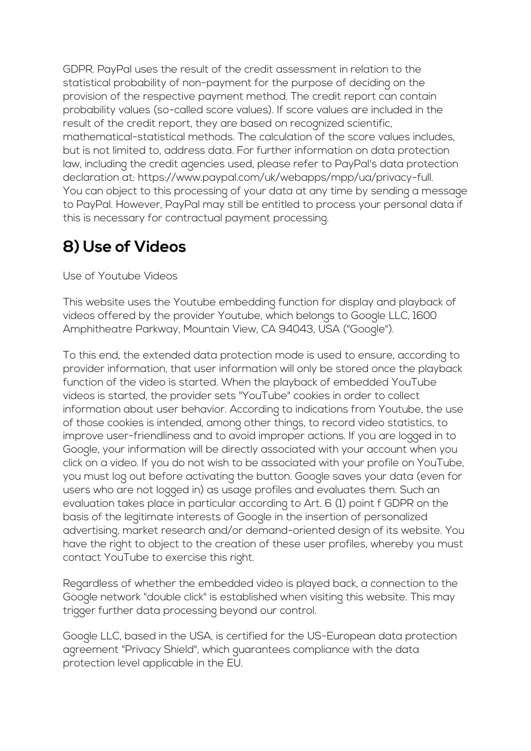GDPR. PayPal uses the result of the credit assessment in relation to the statistical probability of non-payment for the purpose of deciding on the provision of the respective payment method. The credit report can contain probability values (so-called score values). If score values are included in the result of the credit report, they are based on recognized scientific, mathematical-statistical methods. The calculation of the score values includes, but is not limited to, address data. For further information on data protection law, including the credit agencies used, please refer to PayPal's data protection declaration at: https://www.paypal.com/uk/webapps/mpp/ua/privacy-full. You can object to this processing of your data at any time by sending a message to PayPal. However, PayPal may still be entitled to process your personal data if this is necessary for contractual payment processing.

# **8) Use of Videos**

Use of Youtube Videos

This website uses the Youtube embedding function for display and playback of videos offered by the provider Youtube, which belongs to Google LLC, 1600 Amphitheatre Parkway, Mountain View, CA 94043, USA ("Google").

To this end, the extended data protection mode is used to ensure, according to provider information, that user information will only be stored once the playback function of the video is started. When the playback of embedded YouTube videos is started, the provider sets "YouTube" cookies in order to collect information about user behavior. According to indications from Youtube, the use of those cookies is intended, among other things, to record video statistics, to improve user-friendliness and to avoid improper actions. If you are logged in to Google, your information will be directly associated with your account when you click on a video. If you do not wish to be associated with your profile on YouTube, you must log out before activating the button. Google saves your data (even for users who are not logged in) as usage profiles and evaluates them. Such an evaluation takes place in particular according to Art. 6 (1) point f GDPR on the basis of the legitimate interests of Google in the insertion of personalized advertising, market research and/or demand-oriented design of its website. You have the right to object to the creation of these user profiles, whereby you must contact YouTube to exercise this right.

Regardless of whether the embedded video is played back, a connection to the Google network "double click" is established when visiting this website. This may trigger further data processing beyond our control.

Google LLC, based in the USA, is certified for the US-European data protection agreement "Privacy Shield", which guarantees compliance with the data protection level applicable in the EU.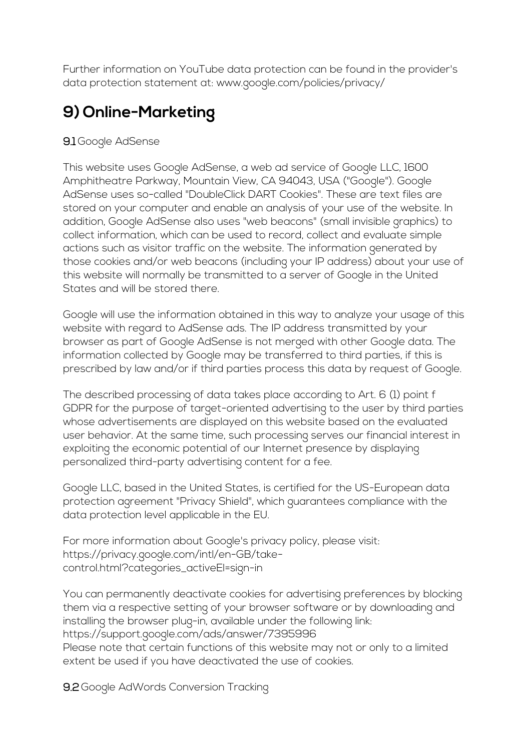Further information on YouTube data protection can be found in the provider's data protection statement at: www.google.com/policies/privacy/

# **9) Online-Marketing**

#### 9.1 Google AdSense

This website uses Google AdSense, a web ad service of Google LLC, 1600 Amphitheatre Parkway, Mountain View, CA 94043, USA ("Google"). Google AdSense uses so-called "DoubleClick DART Cookies". These are text files are stored on your computer and enable an analysis of your use of the website. In addition, Google AdSense also uses "web beacons" (small invisible graphics) to collect information, which can be used to record, collect and evaluate simple actions such as visitor traffic on the website. The information generated by those cookies and/or web beacons (including your IP address) about your use of this website will normally be transmitted to a server of Google in the United States and will be stored there.

Google will use the information obtained in this way to analyze your usage of this website with regard to AdSense ads. The IP address transmitted by your browser as part of Google AdSense is not merged with other Google data. The information collected by Google may be transferred to third parties, if this is prescribed by law and/or if third parties process this data by request of Google.

The described processing of data takes place according to Art. 6 (1) point f GDPR for the purpose of target-oriented advertising to the user by third parties whose advertisements are displayed on this website based on the evaluated user behavior. At the same time, such processing serves our financial interest in exploiting the economic potential of our Internet presence by displaying personalized third-party advertising content for a fee.

Google LLC, based in the United States, is certified for the US-European data protection agreement "Privacy Shield", which guarantees compliance with the data protection level applicable in the EU.

For more information about Google's privacy policy, please visit: https://privacy.google.com/intl/en-GB/takecontrol.html?categories\_activeEl=sign-in

You can permanently deactivate cookies for advertising preferences by blocking them via a respective setting of your browser software or by downloading and installing the browser plug-in, available under the following link: https://support.google.com/ads/answer/7395996 Please note that certain functions of this website may not or only to a limited

extent be used if you have deactivated the use of cookies.

9.2 Google AdWords Conversion Tracking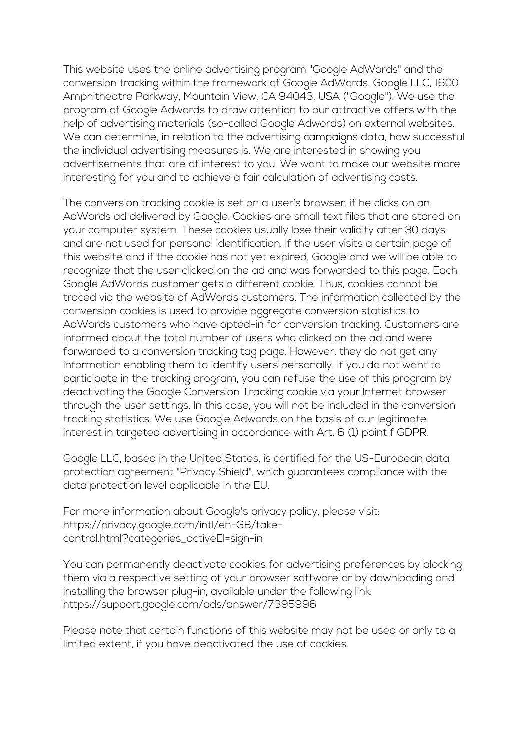This website uses the online advertising program "Google AdWords" and the conversion tracking within the framework of Google AdWords, Google LLC, 1600 Amphitheatre Parkway, Mountain View, CA 94043, USA ("Google"). We use the program of Google Adwords to draw attention to our attractive offers with the help of advertising materials (so-called Google Adwords) on external websites. We can determine, in relation to the advertising campaigns data, how successful the individual advertising measures is. We are interested in showing you advertisements that are of interest to you. We want to make our website more interesting for you and to achieve a fair calculation of advertising costs.

The conversion tracking cookie is set on a user's browser, if he clicks on an AdWords ad delivered by Google. Cookies are small text files that are stored on your computer system. These cookies usually lose their validity after 30 days and are not used for personal identification. If the user visits a certain page of this website and if the cookie has not yet expired, Google and we will be able to recognize that the user clicked on the ad and was forwarded to this page. Each Google AdWords customer gets a different cookie. Thus, cookies cannot be traced via the website of AdWords customers. The information collected by the conversion cookies is used to provide aggregate conversion statistics to AdWords customers who have opted-in for conversion tracking. Customers are informed about the total number of users who clicked on the ad and were forwarded to a conversion tracking tag page. However, they do not get any information enabling them to identify users personally. If you do not want to participate in the tracking program, you can refuse the use of this program by deactivating the Google Conversion Tracking cookie via your Internet browser through the user settings. In this case, you will not be included in the conversion tracking statistics. We use Google Adwords on the basis of our legitimate interest in targeted advertising in accordance with Art. 6 (1) point f GDPR.

Google LLC, based in the United States, is certified for the US-European data protection agreement "Privacy Shield", which guarantees compliance with the data protection level applicable in the EU.

For more information about Google's privacy policy, please visit: https://privacy.google.com/intl/en-GB/takecontrol.html?categories\_activeEl=sign-in

You can permanently deactivate cookies for advertising preferences by blocking them via a respective setting of your browser software or by downloading and installing the browser plug-in, available under the following link: https://support.google.com/ads/answer/7395996

Please note that certain functions of this website may not be used or only to a limited extent, if you have deactivated the use of cookies.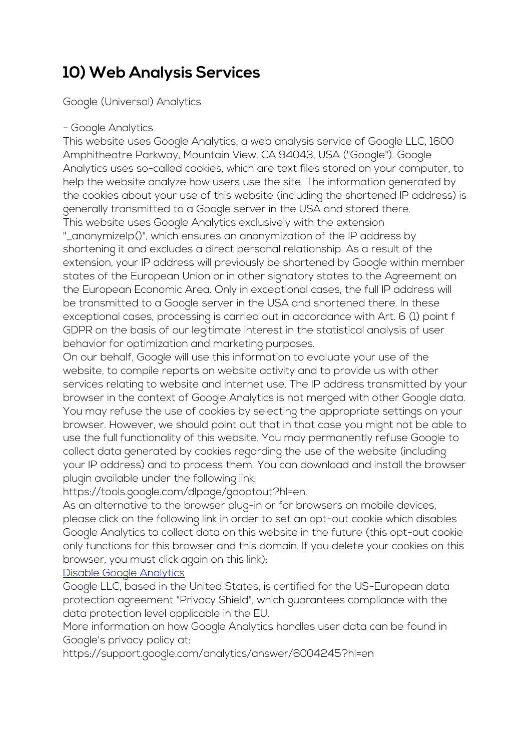### **10) Web Analysis Services**

Google (Universal) Analytics

#### - Google Analytics

This website uses Google Analytics, a web analysis service of Google LLC, 1600 Amphitheatre Parkway, Mountain View, CA 94043, USA ("Google"). Google Analytics uses so-called cookies, which are text files stored on your computer, to help the website analyze how users use the site. The information generated by the cookies about your use of this website (including the shortened IP address) is generally transmitted to a Google server in the USA and stored there. This website uses Google Analytics exclusively with the extension

"\_anonymizeIp()", which ensures an anonymization of the IP address by shortening it and excludes a direct personal relationship. As a result of the extension, your IP address will previously be shortened by Google within member states of the European Union or in other signatory states to the Agreement on the European Economic Area. Only in exceptional cases, the full IP address will be transmitted to a Google server in the USA and shortened there. In these exceptional cases, processing is carried out in accordance with Art. 6 (1) point f GDPR on the basis of our legitimate interest in the statistical analysis of user behavior for optimization and marketing purposes.

On our behalf, Google will use this information to evaluate your use of the website, to compile reports on website activity and to provide us with other services relating to website and internet use. The IP address transmitted by your browser in the context of Google Analytics is not merged with other Google data. You may refuse the use of cookies by selecting the appropriate settings on your browser. However, we should point out that in that case you might not be able to use the full functionality of this website. You may permanently refuse Google to collect data generated by cookies regarding the use of the website (including your IP address) and to process them. You can download and install the browser plugin available under the following link:

https://tools.google.com/dlpage/gaoptout?hl=en.

As an alternative to the browser plug-in or for browsers on mobile devices, please click on the following link in order to set an opt-out cookie which disables Google Analytics to collect data on this website in the future (this opt-out cookie only functions for this browser and this domain. If you delete your cookies on this browser, you must click again on this link):

#### [Disable Google Analytics](javascript:gaOptout)

Google LLC, based in the United States, is certified for the US-European data protection agreement "Privacy Shield", which guarantees compliance with the data protection level applicable in the EU.

More information on how Google Analytics handles user data can be found in Google's privacy policy at:

https://support.google.com/analytics/answer/6004245?hl=en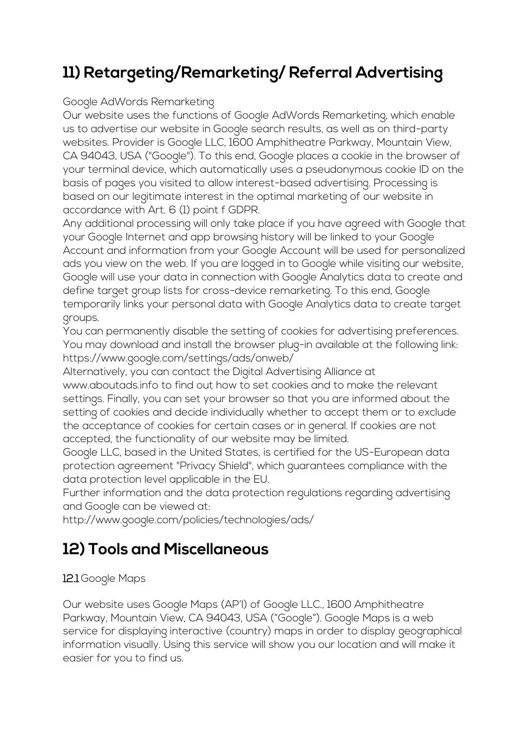# **11) Retargeting/Remarketing/ Referral Advertising**

#### Google AdWords Remarketing

Our website uses the functions of Google AdWords Remarketing, which enable us to advertise our website in Google search results, as well as on third-party websites. Provider is Google LLC, 1600 Amphitheatre Parkway, Mountain View, CA 94043, USA ("Google"). To this end, Google places a cookie in the browser of your terminal device, which automatically uses a pseudonymous cookie ID on the basis of pages you visited to allow interest-based advertising. Processing is based on our legitimate interest in the optimal marketing of our website in accordance with Art. 6 (1) point f GDPR.

Any additional processing will only take place if you have agreed with Google that your Google Internet and app browsing history will be linked to your Google Account and information from your Google Account will be used for personalized ads you view on the web. If you are logged in to Google while visiting our website, Google will use your data in connection with Google Analytics data to create and define target group lists for cross-device remarketing. To this end, Google temporarily links your personal data with Google Analytics data to create target groups.

You can permanently disable the setting of cookies for advertising preferences. You may download and install the browser plug-in available at the following link: https://www.google.com/settings/ads/onweb/

Alternatively, you can contact the Digital Advertising Alliance at

www.aboutads.info to find out how to set cookies and to make the relevant settings. Finally, you can set your browser so that you are informed about the setting of cookies and decide individually whether to accept them or to exclude the acceptance of cookies for certain cases or in general. If cookies are not accepted, the functionality of our website may be limited.

Google LLC, based in the United States, is certified for the US-European data protection agreement "Privacy Shield", which guarantees compliance with the data protection level applicable in the EU.

Further information and the data protection regulations regarding advertising and Google can be viewed at:

http://www.google.com/policies/technologies/ads/

### **12) Tools and Miscellaneous**

#### 12.1 Google Maps

Our website uses Google Maps (AP'I) of Google LLC., 1600 Amphitheatre Parkway, Mountain View, CA 94043, USA ("Google"). Google Maps is a web service for displaying interactive (country) maps in order to display geographical information visually. Using this service will show you our location and will make it easier for you to find us.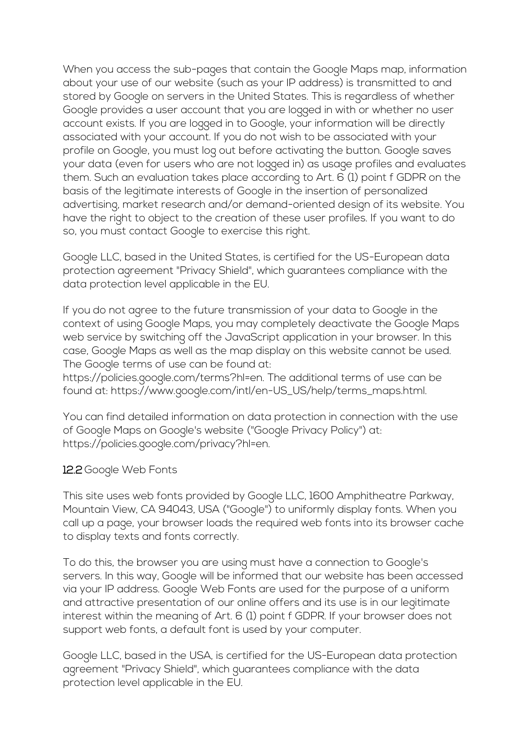When you access the sub-pages that contain the Google Maps map, information about your use of our website (such as your IP address) is transmitted to and stored by Google on servers in the United States. This is regardless of whether Google provides a user account that you are logged in with or whether no user account exists. If you are logged in to Google, your information will be directly associated with your account. If you do not wish to be associated with your profile on Google, you must log out before activating the button. Google saves your data (even for users who are not logged in) as usage profiles and evaluates them. Such an evaluation takes place according to Art. 6 (1) point f GDPR on the basis of the legitimate interests of Google in the insertion of personalized advertising, market research and/or demand-oriented design of its website. You have the right to object to the creation of these user profiles. If you want to do so, you must contact Google to exercise this right.

Google LLC, based in the United States, is certified for the US-European data protection agreement "Privacy Shield", which guarantees compliance with the data protection level applicable in the EU.

If you do not agree to the future transmission of your data to Google in the context of using Google Maps, you may completely deactivate the Google Maps web service by switching off the JavaScript application in your browser. In this case, Google Maps as well as the map display on this website cannot be used. The Google terms of use can be found at:

https://policies.google.com/terms?hl=en. The additional terms of use can be found at: https://www.google.com/intl/en-US\_US/help/terms\_maps.html.

You can find detailed information on data protection in connection with the use of Google Maps on Google's website ("Google Privacy Policy") at: https://policies.google.com/privacy?hl=en.

#### 12.2 Google Web Fonts

This site uses web fonts provided by Google LLC, 1600 Amphitheatre Parkway, Mountain View, CA 94043, USA ("Google") to uniformly display fonts. When you call up a page, your browser loads the required web fonts into its browser cache to display texts and fonts correctly.

To do this, the browser you are using must have a connection to Google's servers. In this way, Google will be informed that our website has been accessed via your IP address. Google Web Fonts are used for the purpose of a uniform and attractive presentation of our online offers and its use is in our legitimate interest within the meaning of Art. 6 (1) point f GDPR. If your browser does not support web fonts, a default font is used by your computer.

Google LLC, based in the USA, is certified for the US-European data protection agreement "Privacy Shield", which guarantees compliance with the data protection level applicable in the EU.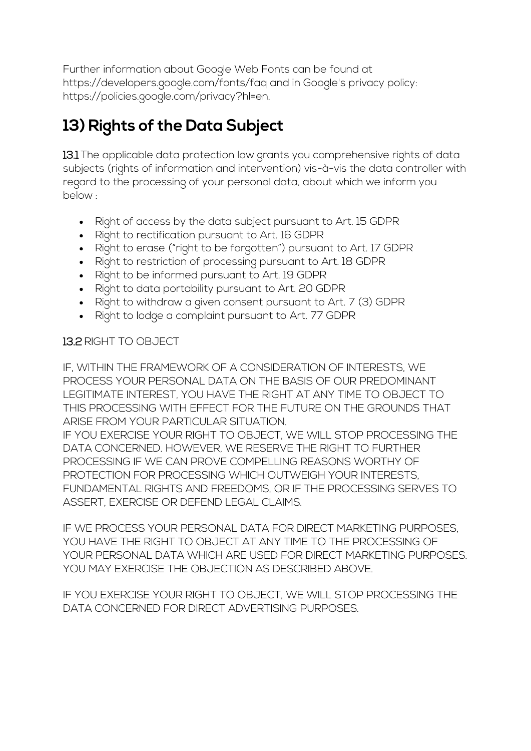Further information about Google Web Fonts can be found at https://developers.google.com/fonts/faq and in Google's privacy policy: https://policies.google.com/privacy?hl=en.

# **13) Rights of the Data Subject**

13.1 The applicable data protection law grants you comprehensive rights of data subjects (rights of information and intervention) vis-à-vis the data controller with regard to the processing of your personal data, about which we inform you below :

- Right of access by the data subject pursuant to Art. 15 GDPR
- Right to rectification pursuant to Art. 16 GDPR
- Right to erase ("right to be forgotten") pursuant to Art. 17 GDPR
- Right to restriction of processing pursuant to Art. 18 GDPR
- Right to be informed pursuant to Art. 19 GDPR
- Right to data portability pursuant to Art. 20 GDPR
- Right to withdraw a given consent pursuant to Art. 7 (3) GDPR
- Right to lodge a complaint pursuant to Art. 77 GDPR

#### 13.2 RIGHT TO OBJECT

IF, WITHIN THE FRAMEWORK OF A CONSIDERATION OF INTERESTS, WE PROCESS YOUR PERSONAL DATA ON THE BASIS OF OUR PREDOMINANT LEGITIMATE INTEREST, YOU HAVE THE RIGHT AT ANY TIME TO OBJECT TO THIS PROCESSING WITH EFFECT FOR THE FUTURE ON THE GROUNDS THAT ARISE FROM YOUR PARTICULAR SITUATION.

IF YOU EXERCISE YOUR RIGHT TO OBJECT, WE WILL STOP PROCESSING THE DATA CONCERNED. HOWEVER, WE RESERVE THE RIGHT TO FURTHER PROCESSING IF WE CAN PROVE COMPELLING REASONS WORTHY OF PROTECTION FOR PROCESSING WHICH OUTWEIGH YOUR INTERESTS, FUNDAMENTAL RIGHTS AND FREEDOMS, OR IF THE PROCESSING SERVES TO ASSERT, EXERCISE OR DEFEND LEGAL CLAIMS.

IF WE PROCESS YOUR PERSONAL DATA FOR DIRECT MARKETING PURPOSES, YOU HAVE THE RIGHT TO OBJECT AT ANY TIME TO THE PROCESSING OF YOUR PERSONAL DATA WHICH ARE USED FOR DIRECT MARKETING PURPOSES. YOU MAY EXERCISE THE OBJECTION AS DESCRIBED ABOVE.

IF YOU EXERCISE YOUR RIGHT TO OBJECT, WE WILL STOP PROCESSING THE DATA CONCERNED FOR DIRECT ADVERTISING PURPOSES.